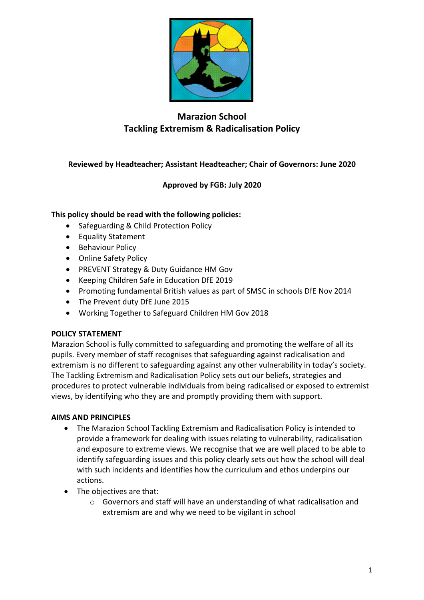

# **Marazion School Tackling Extremism & Radicalisation Policy**

# **Reviewed by Headteacher; Assistant Headteacher; Chair of Governors: June 2020**

# **Approved by FGB: July 2020**

## **This policy should be read with the following policies:**

- Safeguarding & Child Protection Policy
- Equality Statement
- Behaviour Policy
- Online Safety Policy
- PREVENT Strategy & Duty Guidance HM Gov
- Keeping Children Safe in Education DfE 2019
- Promoting fundamental British values as part of SMSC in schools DfE Nov 2014
- The Prevent duty DfE June 2015
- Working Together to Safeguard Children HM Gov 2018

#### **POLICY STATEMENT**

Marazion School is fully committed to safeguarding and promoting the welfare of all its pupils. Every member of staff recognises that safeguarding against radicalisation and extremism is no different to safeguarding against any other vulnerability in today's society*.*  The Tackling Extremism and Radicalisation Policy sets out our beliefs, strategies and procedures to protect vulnerable individuals from being radicalised or exposed to extremist views, by identifying who they are and promptly providing them with support.

#### **AIMS AND PRINCIPLES**

- The Marazion School Tackling Extremism and Radicalisation Policy is intended to provide a framework for dealing with issues relating to vulnerability, radicalisation and exposure to extreme views. We recognise that we are well placed to be able to identify safeguarding issues and this policy clearly sets out how the school will deal with such incidents and identifies how the curriculum and ethos underpins our actions.
- The objectives are that:
	- $\circ$  Governors and staff will have an understanding of what radicalisation and extremism are and why we need to be vigilant in school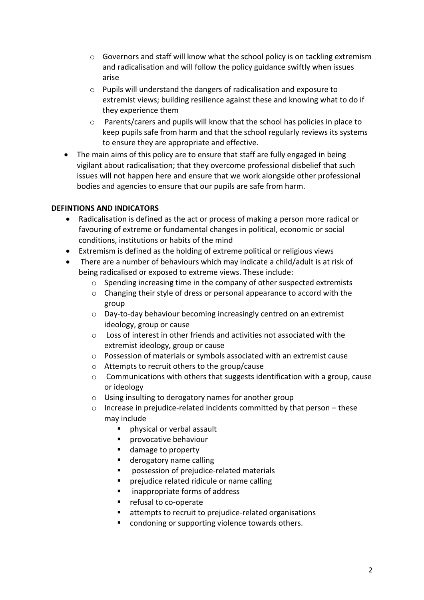- o Governors and staff will know what the school policy is on tackling extremism and radicalisation and will follow the policy guidance swiftly when issues arise
- o Pupils will understand the dangers of radicalisation and exposure to extremist views; building resilience against these and knowing what to do if they experience them
- o Parents/carers and pupils will know that the school has policies in place to keep pupils safe from harm and that the school regularly reviews its systems to ensure they are appropriate and effective.
- The main aims of this policy are to ensure that staff are fully engaged in being vigilant about radicalisation; that they overcome professional disbelief that such issues will not happen here and ensure that we work alongside other professional bodies and agencies to ensure that our pupils are safe from harm.

## **DEFINTIONS AND INDICATORS**

- Radicalisation is defined as the act or process of making a person more radical or favouring of extreme or fundamental changes in political, economic or social conditions, institutions or habits of the mind
- Extremism is defined as the holding of extreme political or religious views
- There are a number of behaviours which may indicate a child/adult is at risk of being radicalised or exposed to extreme views. These include:
	- $\circ$  Spending increasing time in the company of other suspected extremists
	- o Changing their style of dress or personal appearance to accord with the group
	- o Day-to-day behaviour becoming increasingly centred on an extremist ideology, group or cause
	- o Loss of interest in other friends and activities not associated with the extremist ideology, group or cause
	- o Possession of materials or symbols associated with an extremist cause
	- o Attempts to recruit others to the group/cause
	- $\circ$  Communications with others that suggests identification with a group, cause or ideology
	- o Using insulting to derogatory names for another group
	- o Increase in prejudice-related incidents committed by that person these may include
		- **·** physical or verbal assault
		- **·** provocative behaviour
		- damage to property
		- derogatory name calling
		- possession of prejudice-related materials
		- prejudice related ridicule or name calling
		- inappropriate forms of address
		- refusal to co-operate
		- attempts to recruit to prejudice-related organisations
		- condoning or supporting violence towards others.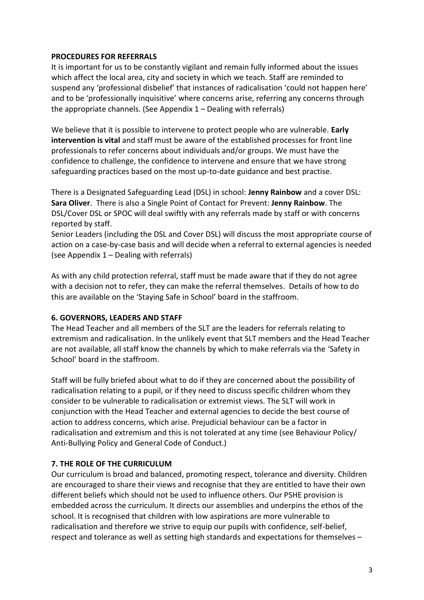#### **PROCEDURES FOR REFERRALS**

It is important for us to be constantly vigilant and remain fully informed about the issues which affect the local area, city and society in which we teach. Staff are reminded to suspend any 'professional disbelief' that instances of radicalisation 'could not happen here' and to be 'professionally inquisitive' where concerns arise, referring any concerns through the appropriate channels. (See Appendix 1 – Dealing with referrals)

We believe that it is possible to intervene to protect people who are vulnerable. **Early intervention is vital** and staff must be aware of the established processes for front line professionals to refer concerns about individuals and/or groups. We must have the confidence to challenge, the confidence to intervene and ensure that we have strong safeguarding practices based on the most up-to-date guidance and best practise.

There is a Designated Safeguarding Lead (DSL) in school: **Jenny Rainbow** and a cover DSL: **Sara Oliver**. There is also a Single Point of Contact for Prevent: **Jenny Rainbow**. The DSL/Cover DSL or SPOC will deal swiftly with any referrals made by staff or with concerns reported by staff.

Senior Leaders (including the DSL and Cover DSL) will discuss the most appropriate course of action on a case-by-case basis and will decide when a referral to external agencies is needed (see Appendix 1 – Dealing with referrals)

As with any child protection referral, staff must be made aware that if they do not agree with a decision not to refer, they can make the referral themselves. Details of how to do this are available on the 'Staying Safe in School' board in the staffroom.

#### **6. GOVERNORS, LEADERS AND STAFF**

The Head Teacher and all members of the SLT are the leaders for referrals relating to extremism and radicalisation. In the unlikely event that SLT members and the Head Teacher are not available, all staff know the channels by which to make referrals via the 'Safety in School' board in the staffroom.

Staff will be fully briefed about what to do if they are concerned about the possibility of radicalisation relating to a pupil, or if they need to discuss specific children whom they consider to be vulnerable to radicalisation or extremist views. The SLT will work in conjunction with the Head Teacher and external agencies to decide the best course of action to address concerns, which arise. Prejudicial behaviour can be a factor in radicalisation and extremism and this is not tolerated at any time (see Behaviour Policy/ Anti-Bullying Policy and General Code of Conduct.)

#### **7. THE ROLE OF THE CURRICULUM**

Our curriculum is broad and balanced, promoting respect, tolerance and diversity. Children are encouraged to share their views and recognise that they are entitled to have their own different beliefs which should not be used to influence others. Our PSHE provision is embedded across the curriculum. It directs our assemblies and underpins the ethos of the school. It is recognised that children with low aspirations are more vulnerable to radicalisation and therefore we strive to equip our pupils with confidence, self-belief, respect and tolerance as well as setting high standards and expectations for themselves –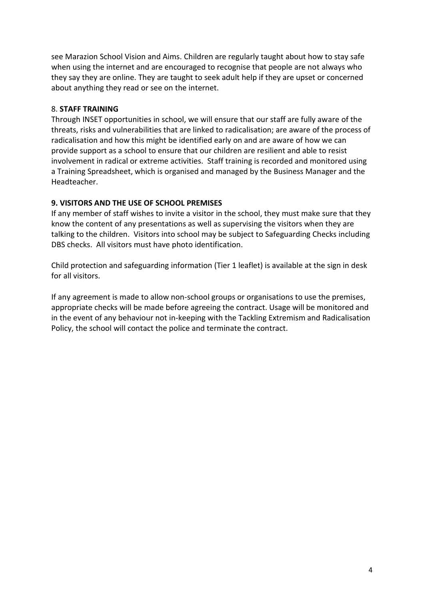see Marazion School Vision and Aims. Children are regularly taught about how to stay safe when using the internet and are encouraged to recognise that people are not always who they say they are online. They are taught to seek adult help if they are upset or concerned about anything they read or see on the internet.

#### 8. **STAFF TRAINING**

Through INSET opportunities in school, we will ensure that our staff are fully aware of the threats, risks and vulnerabilities that are linked to radicalisation; are aware of the process of radicalisation and how this might be identified early on and are aware of how we can provide support as a school to ensure that our children are resilient and able to resist involvement in radical or extreme activities. Staff training is recorded and monitored using a Training Spreadsheet, which is organised and managed by the Business Manager and the Headteacher.

#### **9. VISITORS AND THE USE OF SCHOOL PREMISES**

If any member of staff wishes to invite a visitor in the school, they must make sure that they know the content of any presentations as well as supervising the visitors when they are talking to the children. Visitors into school may be subject to Safeguarding Checks including DBS checks. All visitors must have photo identification.

Child protection and safeguarding information (Tier 1 leaflet) is available at the sign in desk for all visitors.

If any agreement is made to allow non-school groups or organisations to use the premises, appropriate checks will be made before agreeing the contract. Usage will be monitored and in the event of any behaviour not in-keeping with the Tackling Extremism and Radicalisation Policy, the school will contact the police and terminate the contract.